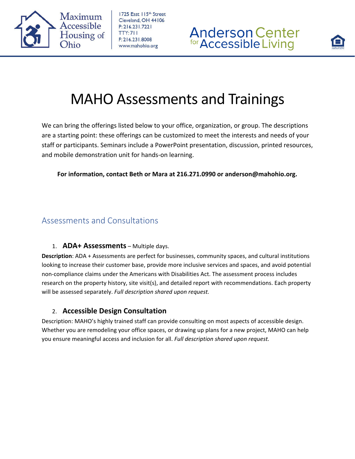

1725 East 115th Street Cleveland, OH 44106  $P: 216.231.7221$ **TTY: 711** F: 216.231.8008 www.mahohio.org





## MAHO Assessments and Trainings

We can bring the offerings listed below to your office, organization, or group. The descriptions are a starting point: these offerings can be customized to meet the interests and needs of your staff or participants. Seminars include a PowerPoint presentation, discussion, printed resources, and mobile demonstration unit for hands‐on learning.

#### **For information, contact Beth or Mara at 216.271.0990 or anderson@mahohio.org.**

## Assessments and Consultations

### 1. **ADA+ Assessments** – Multiple days.

**Description**: ADA + Assessments are perfect for businesses, community spaces, and cultural institutions looking to increase their customer base, provide more inclusive services and spaces, and avoid potential non‐compliance claims under the Americans with Disabilities Act. The assessment process includes research on the property history, site visit(s), and detailed report with recommendations. Each property will be assessed separately. *Full description shared upon request.*

## 2. **Accessible Design Consultation**

Description: MAHO's highly trained staff can provide consulting on most aspects of accessible design. Whether you are remodeling your office spaces, or drawing up plans for a new project, MAHO can help you ensure meaningful access and inclusion for all. *Full description shared upon request.*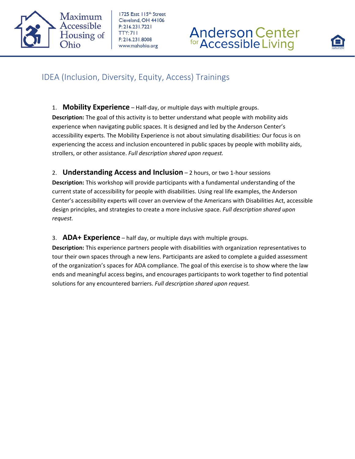

1725 East 115th Street Cleveland, OH 44106  $P: 216.231.7221$ **TTY: 711** F: 216.231.8008 www.mahohio.org

# **Anderson Center**<br>for Accessible Living



## IDEA (Inclusion, Diversity, Equity, Access) Trainings

- 1. **Mobility Experience** Half‐day, or multiple days with multiple groups. **Description:** The goal of this activity is to better understand what people with mobility aids experience when navigating public spaces. It is designed and led by the Anderson Center's accessibility experts. The Mobility Experience is not about simulating disabilities: Our focus is on experiencing the access and inclusion encountered in public spaces by people with mobility aids, strollers, or other assistance. *Full description shared upon request.*
- 2. **Understanding Access and Inclusion** 2 hours, or two 1‐hour sessions

**Description:** This workshop will provide participants with a fundamental understanding of the current state of accessibility for people with disabilities. Using real life examples, the Anderson Center's accessibility experts will cover an overview of the Americans with Disabilities Act, accessible design principles, and strategies to create a more inclusive space. *Full description shared upon request.*

#### 3. **ADA+ Experience** – half day, or multiple days with multiple groups.

**Description:** This experience partners people with disabilities with organization representatives to tour their own spaces through a new lens. Participants are asked to complete a guided assessment of the organization's spaces for ADA compliance. The goal of this exercise is to show where the law ends and meaningful access begins, and encourages participants to work together to find potential solutions for any encountered barriers. *Full description shared upon request.*